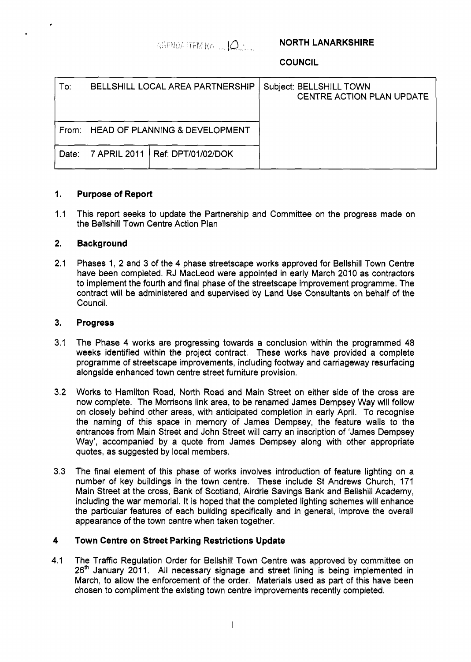AGENDA ITEM No $\sim$  10.  $\sim$ 

**NORTH LANARKSHIRE** 

**COUNCIL** 

| To:   | BELLSHILL LOCAL AREA PARTNERSHIP |                                      | Subject: BELLSHILL TOWN<br><b>CENTRE ACTION PLAN UPDATE</b> |
|-------|----------------------------------|--------------------------------------|-------------------------------------------------------------|
|       |                                  | From: HEAD OF PLANNING & DEVELOPMENT |                                                             |
| Date: |                                  | 7 APRIL 2011   Ref: DPT/01/02/DOK    |                                                             |

### **1. Purpose of Report**

1.1 This report seeks to update the Partnership and Committee on the progress made on the Bellshill Town Centre Action Plan

#### **2. Background**

2.1 Phases 1, 2 and 3 of the **4** phase streetscape works approved for Bellshill Town Centre have been completed. RJ MacLeod were appointed in early March 2010 as contractors to implement the fourth and final phase of the streetscape improvement programme. The contract will be administered and supervised by Land Use Consultants on behalf of the Council.

#### **3. Progress**

- 3.1 The Phase **4** works are progressing towards a conclusion within the programmed **48**  weeks identified within the project contract. These works have provided a complete programme of streetscape improvements, including footway and carriageway resurfacing alongside enhanced town centre street furniture provision.
- 3.2 Works to Hamilton Road, North Road and Main Street on either side of the cross are now complete. The Morrisons link area, to be renamed James Dempsey Way will follow on closely behind other areas, with anticipated completion in early April. To recognise the naming of this space in memory of James Dempsey, the feature walls to the entrances from Main Street and John Street will carry an inscription of 'James Dempsey Way', accompanied by a quote from James Dempsey along with other appropriate quotes, as suggested by local members.
- 3.3 The final element of this phase of works involves introduction of feature lighting on a number of key buildings in the town centre. These include St Andrews Church, 171 Main Street at the cross, Bank of Scotland, Airdrie Savings Bank and Bellshill Academy, including the war memorial. It is hoped that the completed lighting schemes will enhance the particular features of each building specifically and in general, improve the overall appearance of the town centre when taken together.

### **4 Town Centre on Street Parking Restrictions Update**

**4.1**  The Traffic Regulation Order for Bellshill Town Centre was approved by committee on 26<sup>th</sup> January 2011. All necessary signage and street lining is being implemented in March, to allow the enforcement of the order. Materials used as part of this have been chosen to compliment the existing town centre improvements recently completed.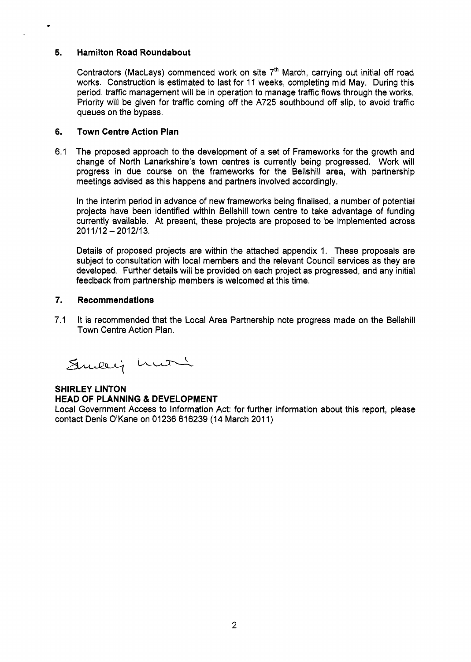### **5. Hamilton Road Roundabout**

٠

Contractors (MacLays) commenced work on site  $7<sup>th</sup>$  March, carrying out initial off road works. Construction is estimated to last for 11 weeks, completing mid May. During this period, traffic management will be in operation to manage traffic flows through the works. Priority will be given for traffic coming off the A725 southbound off slip, to avoid traffic queues on the bypass.

### **6. Town Centre Action Plan**

6.1 The proposed approach to the development of a set of Frameworks for the growth and change of North Lanarkshire's town centres is currently being progressed. Work will progress in due course on the frameworks for the Bellshill area, with partnership meetings advised as this happens and partners involved accordingly.

In the interim period in advance of new frameworks being finalised, a number of potential projects have been identified within Bellshill town centre to take advantage of funding currently available. At present, these projects are proposed to be implemented across  $2011/12 - 2012/13$ .

Details of proposed projects are within the attached appendix 1. These proposals are subject to consultation with local members and the relevant Council services as they are developed. Further details will be provided on each project as progressed, and any initial feedback from partnership members is welcomed at this time.

### **7. Recommendations**

7.1 It is recommended that the Local Area Partnership note progress made on the Bellshill Town Centre Action Plan.

Suicey huri

# **SHIRLEY LINTON HEAD OF PLANNING** & **DEVELOPMENT**

Local Government Access to Information Act: for further information about this report, please contact Denis O'Kane on 01236 616239 (14 March 2011)